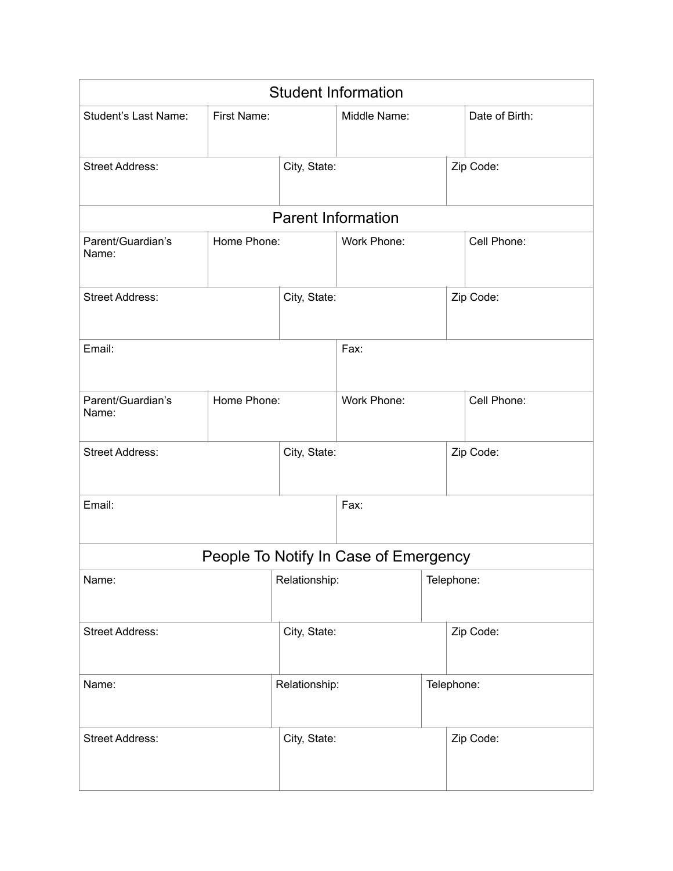| <b>Student Information</b>             |                            |               |                                       |             |                |  |  |
|----------------------------------------|----------------------------|---------------|---------------------------------------|-------------|----------------|--|--|
| Student's Last Name:                   | First Name:                |               | Middle Name:                          |             | Date of Birth: |  |  |
| <b>Street Address:</b>                 | City, State:               |               |                                       |             | Zip Code:      |  |  |
|                                        | <b>Parent Information</b>  |               |                                       |             |                |  |  |
| Parent/Guardian's<br>Name:             | Home Phone:                |               | Work Phone:                           |             | Cell Phone:    |  |  |
| <b>Street Address:</b>                 |                            | City, State:  |                                       |             | Zip Code:      |  |  |
| Email:                                 |                            | Fax:          |                                       |             |                |  |  |
| Parent/Guardian's<br>Name:             | Home Phone:<br>Work Phone: |               |                                       | Cell Phone: |                |  |  |
| <b>Street Address:</b><br>City, State: |                            |               |                                       | Zip Code:   |                |  |  |
| Email:<br>Fax:                         |                            |               |                                       |             |                |  |  |
|                                        |                            |               | People To Notify In Case of Emergency |             |                |  |  |
| Name:                                  |                            | Relationship: |                                       |             | Telephone:     |  |  |
| <b>Street Address:</b>                 |                            | City, State:  |                                       |             | Zip Code:      |  |  |
| Relationship:<br>Name:                 |                            | Telephone:    |                                       |             |                |  |  |
| <b>Street Address:</b>                 |                            | City, State:  |                                       |             | Zip Code:      |  |  |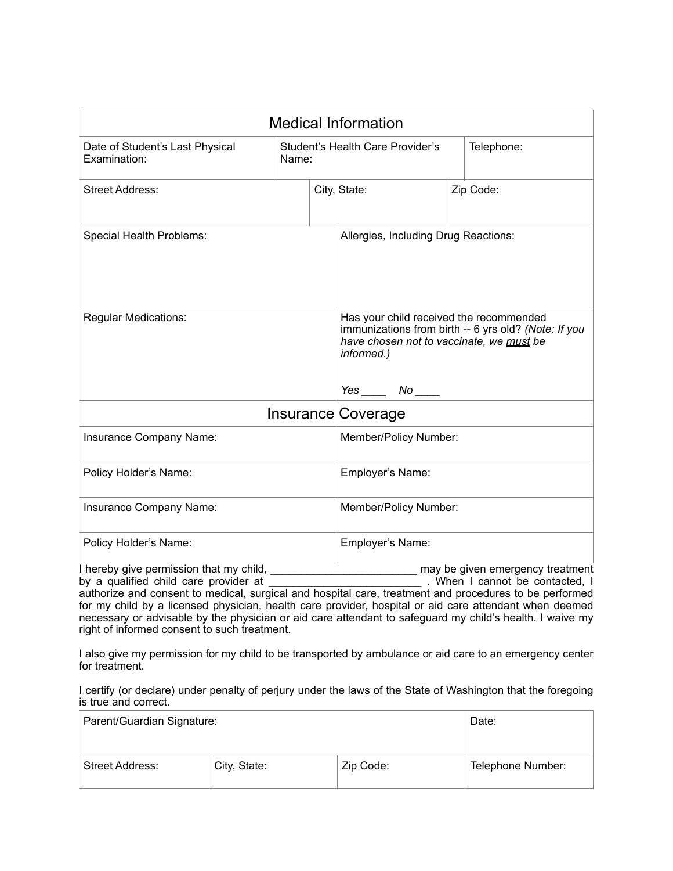| <b>Medical Information</b>                      |       |                                                                                                                                                                                |  |                                  |  |
|-------------------------------------------------|-------|--------------------------------------------------------------------------------------------------------------------------------------------------------------------------------|--|----------------------------------|--|
| Date of Student's Last Physical<br>Examination: | Name: | Student's Health Care Provider's                                                                                                                                               |  | Telephone:                       |  |
| <b>Street Address:</b>                          |       | City, State:                                                                                                                                                                   |  | Zip Code:                        |  |
| Special Health Problems:                        |       | Allergies, Including Drug Reactions:                                                                                                                                           |  |                                  |  |
| <b>Regular Medications:</b>                     |       | Has your child received the recommended<br>immunizations from birth -- 6 yrs old? (Note: If you<br>have chosen not to vaccinate, we must be<br>informed.)<br>$Yes$ $No$ $\_\_$ |  |                                  |  |
| <b>Insurance Coverage</b>                       |       |                                                                                                                                                                                |  |                                  |  |
| Insurance Company Name:                         |       | Member/Policy Number:                                                                                                                                                          |  |                                  |  |
| Policy Holder's Name:                           |       | Employer's Name:                                                                                                                                                               |  |                                  |  |
| Insurance Company Name:                         |       | Member/Policy Number:                                                                                                                                                          |  |                                  |  |
| Policy Holder's Name:                           |       | Employer's Name:                                                                                                                                                               |  |                                  |  |
| I hereby give permission that my child,         |       |                                                                                                                                                                                |  | may be given emergency treatment |  |

by a qualified child care provider at \_\_\_\_\_\_\_\_\_\_\_\_\_\_\_\_\_\_\_\_\_\_\_\_\_\_\_\_\_\_. When I cannot be contacted, I authorize and consent to medical, surgical and hospital care, treatment and procedures to be performed for my child by a licensed physician, health care provider, hospital or aid care attendant when deemed necessary or advisable by the physician or aid care attendant to safeguard my child's health. I waive my right of informed consent to such treatment.

I also give my permission for my child to be transported by ambulance or aid care to an emergency center for treatment.

I certify (or declare) under penalty of perjury under the laws of the State of Washington that the foregoing is true and correct.

| Parent/Guardian Signature: |              |           | Date:             |
|----------------------------|--------------|-----------|-------------------|
| <b>Street Address:</b>     | City, State: | Zip Code: | Telephone Number: |